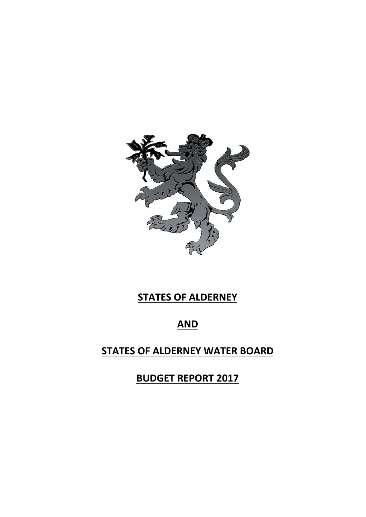

# **STATES OF ALDERNEY**

## **AND**

## **STATES OF ALDERNEY WATER BOARD**

**BUDGET REPORT 2017**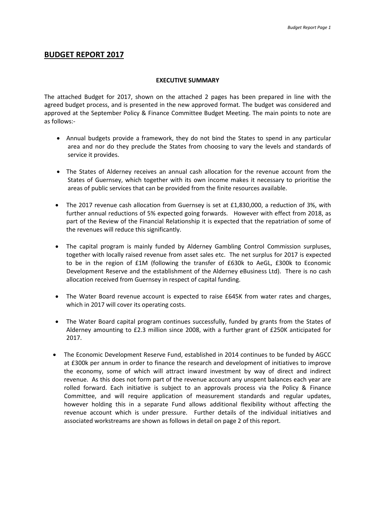## **BUDGET REPORT 2017**

#### **EXECUTIVE SUMMARY**

The attached Budget for 2017, shown on the attached 2 pages has been prepared in line with the agreed budget process, and is presented in the new approved format. The budget was considered and approved at the September Policy & Finance Committee Budget Meeting. The main points to note are as follows:-

- Annual budgets provide a framework, they do not bind the States to spend in any particular area and nor do they preclude the States from choosing to vary the levels and standards of service it provides.
- The States of Alderney receives an annual cash allocation for the revenue account from the States of Guernsey, which together with its own income makes it necessary to prioritise the areas of public services that can be provided from the finite resources available.
- The 2017 revenue cash allocation from Guernsey is set at £1,830,000, a reduction of 3%, with further annual reductions of 5% expected going forwards. However with effect from 2018, as part of the Review of the Financial Relationship it is expected that the repatriation of some of the revenues will reduce this significantly.
- The capital program is mainly funded by Alderney Gambling Control Commission surpluses, together with locally raised revenue from asset sales etc. The net surplus for 2017 is expected to be in the region of £1M (following the transfer of £630k to AeGL, £300k to Economic Development Reserve and the establishment of the Alderney eBusiness Ltd). There is no cash allocation received from Guernsey in respect of capital funding.
- The Water Board revenue account is expected to raise £645K from water rates and charges, which in 2017 will cover its operating costs.
- The Water Board capital program continues successfully, funded by grants from the States of Alderney amounting to £2.3 million since 2008, with a further grant of £250K anticipated for 2017.
- The Economic Development Reserve Fund, established in 2014 continues to be funded by AGCC at £300k per annum in order to finance the research and development of initiatives to improve the economy, some of which will attract inward investment by way of direct and indirect revenue. As this does not form part of the revenue account any unspent balances each year are rolled forward. Each initiative is subject to an approvals process via the Policy & Finance Committee, and will require application of measurement standards and regular updates, however holding this in a separate Fund allows additional flexibility without affecting the revenue account which is under pressure. Further details of the individual initiatives and associated workstreams are shown as follows in detail on page 2 of this report.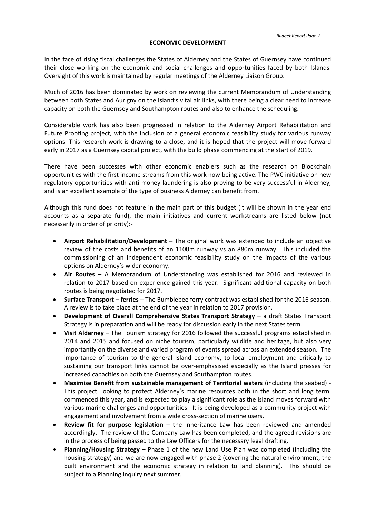#### **ECONOMIC DEVELOPMENT**

In the face of rising fiscal challenges the States of Alderney and the States of Guernsey have continued their close working on the economic and social challenges and opportunities faced by both Islands. Oversight of this work is maintained by regular meetings of the Alderney Liaison Group.

Much of 2016 has been dominated by work on reviewing the current Memorandum of Understanding between both States and Aurigny on the Island's vital air links, with there being a clear need to increase capacity on both the Guernsey and Southampton routes and also to enhance the scheduling.

Considerable work has also been progressed in relation to the Alderney Airport Rehabilitation and Future Proofing project, with the inclusion of a general economic feasibility study for various runway options. This research work is drawing to a close, and it is hoped that the project will move forward early in 2017 as a Guernsey capital project, with the build phase commencing at the start of 2019.

There have been successes with other economic enablers such as the research on Blockchain opportunities with the first income streams from this work now being active. The PWC initiative on new regulatory opportunities with anti-money laundering is also proving to be very successful in Alderney, and is an excellent example of the type of business Alderney can benefit from.

Although this fund does not feature in the main part of this budget (it will be shown in the year end accounts as a separate fund), the main initiatives and current workstreams are listed below (not necessarily in order of priority):-

- **Airport Rehabilitation/Development –** The original work was extended to include an objective review of the costs and benefits of an 1100m runway vs an 880m runway. This included the commissioning of an independent economic feasibility study on the impacts of the various options on Alderney's wider economy.
- **Air Routes –** A Memorandum of Understanding was established for 2016 and reviewed in relation to 2017 based on experience gained this year. Significant additional capacity on both routes is being negotiated for 2017.
- **Surface Transport – ferries** The Bumblebee ferry contract was established for the 2016 season. A review is to take place at the end of the year in relation to 2017 provision.
- **Development of Overall Comprehensive States Transport Strategy**  a draft States Transport Strategy is in preparation and will be ready for discussion early in the next States term.
- **Visit Alderney**  The Tourism strategy for 2016 followed the successful programs established in 2014 and 2015 and focused on niche tourism, particularly wildlife and heritage, but also very importantly on the diverse and varied program of events spread across an extended season. The importance of tourism to the general Island economy, to local employment and critically to sustaining our transport links cannot be over-emphasised especially as the Island presses for increased capacities on both the Guernsey and Southampton routes.
- **Maximise Benefit from sustainable management of Territorial waters** (including the seabed) This project, looking to protect Alderney's marine resources both in the short and long term, commenced this year, and is expected to play a significant role as the Island moves forward with various marine challenges and opportunities. It is being developed as a community project with engagement and involvement from a wide cross-section of marine users.
- **Review fit for purpose legislation** the Inheritance Law has been reviewed and amended accordingly. The review of the Company Law has been completed, and the agreed revisions are in the process of being passed to the Law Officers for the necessary legal drafting.
- **Planning/Housing Strategy** Phase 1 of the new Land Use Plan was completed (including the housing strategy) and we are now engaged with phase 2 (covering the natural environment, the built environment and the economic strategy in relation to land planning). This should be subject to a Planning Inquiry next summer.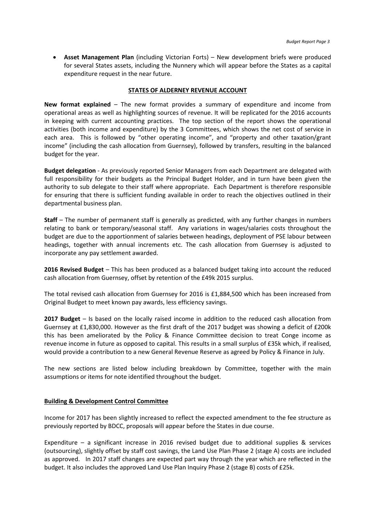• **Asset Management Plan** (including Victorian Forts) – New development briefs were produced for several States assets, including the Nunnery which will appear before the States as a capital expenditure request in the near future.

#### **STATES OF ALDERNEY REVENUE ACCOUNT**

**New format explained** – The new format provides a summary of expenditure and income from operational areas as well as highlighting sources of revenue. It will be replicated for the 2016 accounts in keeping with current accounting practices. The top section of the report shows the operational activities (both income and expenditure) by the 3 Committees, which shows the net cost of service in each area. This is followed by "other operating income", and "property and other taxation/grant income" (including the cash allocation from Guernsey), followed by transfers, resulting in the balanced budget for the year.

**Budget delegation** - As previously reported Senior Managers from each Department are delegated with full responsibility for their budgets as the Principal Budget Holder, and in turn have been given the authority to sub delegate to their staff where appropriate. Each Department is therefore responsible for ensuring that there is sufficient funding available in order to reach the objectives outlined in their departmental business plan.

**Staff** – The number of permanent staff is generally as predicted, with any further changes in numbers relating to bank or temporary/seasonal staff. Any variations in wages/salaries costs throughout the budget are due to the apportionment of salaries between headings, deployment of PSE labour between headings, together with annual increments etc. The cash allocation from Guernsey is adjusted to incorporate any pay settlement awarded.

**2016 Revised Budget** – This has been produced as a balanced budget taking into account the reduced cash allocation from Guernsey, offset by retention of the £49k 2015 surplus.

The total revised cash allocation from Guernsey for 2016 is £1,884,500 which has been increased from Original Budget to meet known pay awards, less efficiency savings.

**2017 Budget** – Is based on the locally raised income in addition to the reduced cash allocation from Guernsey at £1,830,000. However as the first draft of the 2017 budget was showing a deficit of £200k this has been ameliorated by the Policy & Finance Committee decision to treat Conge income as revenue income in future as opposed to capital. This results in a small surplus of £35k which, if realised, would provide a contribution to a new General Revenue Reserve as agreed by Policy & Finance in July.

The new sections are listed below including breakdown by Committee, together with the main assumptions or items for note identified throughout the budget.

#### **Building & Development Control Committee**

Income for 2017 has been slightly increased to reflect the expected amendment to the fee structure as previously reported by BDCC, proposals will appear before the States in due course.

Expenditure – a significant increase in 2016 revised budget due to additional supplies & services (outsourcing), slightly offset by staff cost savings, the Land Use Plan Phase 2 (stage A) costs are included as approved. In 2017 staff changes are expected part way through the year which are reflected in the budget. It also includes the approved Land Use Plan Inquiry Phase 2 (stage B) costs of £25k.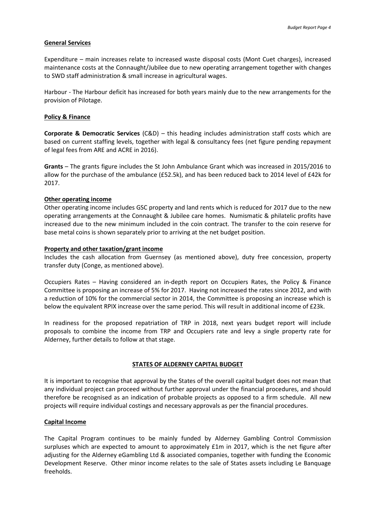## **General Services**

Expenditure – main increases relate to increased waste disposal costs (Mont Cuet charges), increased maintenance costs at the Connaught/Jubilee due to new operating arrangement together with changes to SWD staff administration & small increase in agricultural wages.

Harbour - The Harbour deficit has increased for both years mainly due to the new arrangements for the provision of Pilotage.

## **Policy & Finance**

**Corporate & Democratic Services** (C&D) – this heading includes administration staff costs which are based on current staffing levels, together with legal & consultancy fees (net figure pending repayment of legal fees from ARE and ACRE in 2016).

**Grants** – The grants figure includes the St John Ambulance Grant which was increased in 2015/2016 to allow for the purchase of the ambulance (£52.5k), and has been reduced back to 2014 level of £42k for 2017.

## **Other operating income**

Other operating income includes GSC property and land rents which is reduced for 2017 due to the new operating arrangements at the Connaught & Jubilee care homes. Numismatic & philatelic profits have increased due to the new minimum included in the coin contract. The transfer to the coin reserve for base metal coins is shown separately prior to arriving at the net budget position.

## **Property and other taxation/grant income**

Includes the cash allocation from Guernsey (as mentioned above), duty free concession, property transfer duty (Conge, as mentioned above).

Occupiers Rates – Having considered an in-depth report on Occupiers Rates, the Policy & Finance Committee is proposing an increase of 5% for 2017. Having not increased the rates since 2012, and with a reduction of 10% for the commercial sector in 2014, the Committee is proposing an increase which is below the equivalent RPIX increase over the same period. This will result in additional income of £23k.

In readiness for the proposed repatriation of TRP in 2018, next years budget report will include proposals to combine the income from TRP and Occupiers rate and levy a single property rate for Alderney, further details to follow at that stage.

## **STATES OF ALDERNEY CAPITAL BUDGET**

It is important to recognise that approval by the States of the overall capital budget does not mean that any individual project can proceed without further approval under the financial procedures, and should therefore be recognised as an indication of probable projects as opposed to a firm schedule. All new projects will require individual costings and necessary approvals as per the financial procedures.

#### **Capital Income**

The Capital Program continues to be mainly funded by Alderney Gambling Control Commission surpluses which are expected to amount to approximately £1m in 2017, which is the net figure after adjusting for the Alderney eGambling Ltd & associated companies, together with funding the Economic Development Reserve. Other minor income relates to the sale of States assets including Le Banquage freeholds.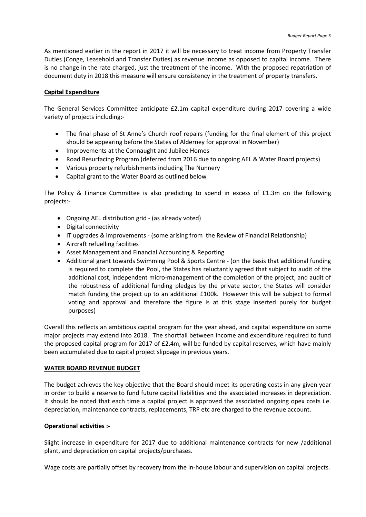As mentioned earlier in the report in 2017 it will be necessary to treat income from Property Transfer Duties (Conge, Leasehold and Transfer Duties) as revenue income as opposed to capital income. There is no change in the rate charged, just the treatment of the income. With the proposed repatriation of document duty in 2018 this measure will ensure consistency in the treatment of property transfers.

#### **Capital Expenditure**

The General Services Committee anticipate £2.1m capital expenditure during 2017 covering a wide variety of projects including:-

- The final phase of St Anne's Church roof repairs (funding for the final element of this project should be appearing before the States of Alderney for approval in November)
- Improvements at the Connaught and Jubilee Homes
- Road Resurfacing Program (deferred from 2016 due to ongoing AEL & Water Board projects)
- Various property refurbishments including The Nunnery
- Capital grant to the Water Board as outlined below

The Policy & Finance Committee is also predicting to spend in excess of £1.3m on the following projects:-

- Ongoing AEL distribution grid (as already voted)
- Digital connectivity
- IT upgrades & improvements (some arising from the Review of Financial Relationship)
- Aircraft refuelling facilities
- Asset Management and Financial Accounting & Reporting
- Additional grant towards Swimming Pool & Sports Centre (on the basis that additional funding is required to complete the Pool, the States has reluctantly agreed that subject to audit of the additional cost, independent micro-management of the completion of the project, and audit of the robustness of additional funding pledges by the private sector, the States will consider match funding the project up to an additional £100k. However this will be subject to formal voting and approval and therefore the figure is at this stage inserted purely for budget purposes)

Overall this reflects an ambitious capital program for the year ahead, and capital expenditure on some major projects may extend into 2018. The shortfall between income and expenditure required to fund the proposed capital program for 2017 of £2.4m, will be funded by capital reserves, which have mainly been accumulated due to capital project slippage in previous years.

#### **WATER BOARD REVENUE BUDGET**

The budget achieves the key objective that the Board should meet its operating costs in any given year in order to build a reserve to fund future capital liabilities and the associated increases in depreciation. It should be noted that each time a capital project is approved the associated ongoing opex costs i.e. depreciation, maintenance contracts, replacements, TRP etc are charged to the revenue account.

## **Operational activities :-**

Slight increase in expenditure for 2017 due to additional maintenance contracts for new /additional plant, and depreciation on capital projects/purchases.

Wage costs are partially offset by recovery from the in-house labour and supervision on capital projects.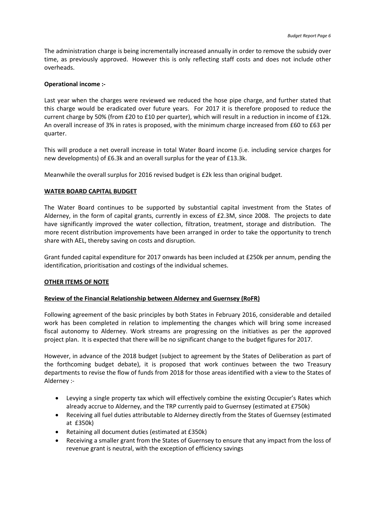The administration charge is being incrementally increased annually in order to remove the subsidy over time, as previously approved. However this is only reflecting staff costs and does not include other overheads.

#### **Operational income :-**

Last year when the charges were reviewed we reduced the hose pipe charge, and further stated that this charge would be eradicated over future years. For 2017 it is therefore proposed to reduce the current charge by 50% (from £20 to £10 per quarter), which will result in a reduction in income of £12k. An overall increase of 3% in rates is proposed, with the minimum charge increased from £60 to £63 per quarter.

This will produce a net overall increase in total Water Board income (i.e. including service charges for new developments) of £6.3k and an overall surplus for the year of £13.3k.

Meanwhile the overall surplus for 2016 revised budget is £2k less than original budget.

## **WATER BOARD CAPITAL BUDGET**

The Water Board continues to be supported by substantial capital investment from the States of Alderney, in the form of capital grants, currently in excess of £2.3M, since 2008. The projects to date have significantly improved the water collection, filtration, treatment, storage and distribution. The more recent distribution improvements have been arranged in order to take the opportunity to trench share with AEL, thereby saving on costs and disruption.

Grant funded capital expenditure for 2017 onwards has been included at £250k per annum, pending the identification, prioritisation and costings of the individual schemes.

## **OTHER ITEMS OF NOTE**

#### **Review of the Financial Relationship between Alderney and Guernsey (RoFR)**

Following agreement of the basic principles by both States in February 2016, considerable and detailed work has been completed in relation to implementing the changes which will bring some increased fiscal autonomy to Alderney. Work streams are progressing on the initiatives as per the approved project plan. It is expected that there will be no significant change to the budget figures for 2017.

However, in advance of the 2018 budget (subject to agreement by the States of Deliberation as part of the forthcoming budget debate), it is proposed that work continues between the two Treasury departments to revise the flow of funds from 2018 for those areas identified with a view to the States of Alderney :-

- Levying a single property tax which will effectively combine the existing Occupier's Rates which already accrue to Alderney, and the TRP currently paid to Guernsey (estimated at £750k)
- Receiving all fuel duties attributable to Alderney directly from the States of Guernsey (estimated at £350k)
- Retaining all document duties (estimated at £350k)
- Receiving a smaller grant from the States of Guernsey to ensure that any impact from the loss of revenue grant is neutral, with the exception of efficiency savings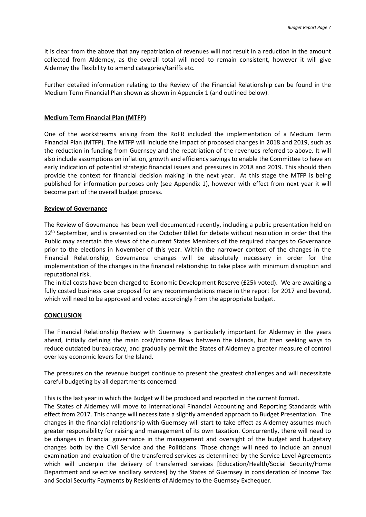It is clear from the above that any repatriation of revenues will not result in a reduction in the amount collected from Alderney, as the overall total will need to remain consistent, however it will give Alderney the flexibility to amend categories/tariffs etc.

Further detailed information relating to the Review of the Financial Relationship can be found in the Medium Term Financial Plan shown as shown in Appendix 1 (and outlined below).

## **Medium Term Financial Plan (MTFP)**

One of the workstreams arising from the RoFR included the implementation of a Medium Term Financial Plan (MTFP). The MTFP will include the impact of proposed changes in 2018 and 2019, such as the reduction in funding from Guernsey and the repatriation of the revenues referred to above. It will also include assumptions on inflation, growth and efficiency savings to enable the Committee to have an early indication of potential strategic financial issues and pressures in 2018 and 2019. This should then provide the context for financial decision making in the next year. At this stage the MTFP is being published for information purposes only (see Appendix 1), however with effect from next year it will become part of the overall budget process.

#### **Review of Governance**

The Review of Governance has been well documented recently, including a public presentation held on 12<sup>th</sup> September, and is presented on the October Billet for debate without resolution in order that the Public may ascertain the views of the current States Members of the required changes to Governance prior to the elections in November of this year. Within the narrower context of the changes in the Financial Relationship, Governance changes will be absolutely necessary in order for the implementation of the changes in the financial relationship to take place with minimum disruption and reputational risk.

The initial costs have been charged to Economic Development Reserve (£25k voted). We are awaiting a fully costed business case proposal for any recommendations made in the report for 2017 and beyond, which will need to be approved and voted accordingly from the appropriate budget.

#### **CONCLUSION**

The Financial Relationship Review with Guernsey is particularly important for Alderney in the years ahead, initially defining the main cost/income flows between the islands, but then seeking ways to reduce outdated bureaucracy, and gradually permit the States of Alderney a greater measure of control over key economic levers for the Island.

The pressures on the revenue budget continue to present the greatest challenges and will necessitate careful budgeting by all departments concerned.

This is the last year in which the Budget will be produced and reported in the current format.

The States of Alderney will move to International Financial Accounting and Reporting Standards with effect from 2017. This change will necessitate a slightly amended approach to Budget Presentation. The changes in the financial relationship with Guernsey will start to take effect as Alderney assumes much greater responsibility for raising and management of its own taxation. Concurrently, there will need to be changes in financial governance in the management and oversight of the budget and budgetary changes both by the Civil Service and the Politicians. Those change will need to include an annual examination and evaluation of the transferred services as determined by the Service Level Agreements which will underpin the delivery of transferred services [Education/Health/Social Security/Home Department and selective ancillary services] by the States of Guernsey in consideration of Income Tax and Social Security Payments by Residents of Alderney to the Guernsey Exchequer.